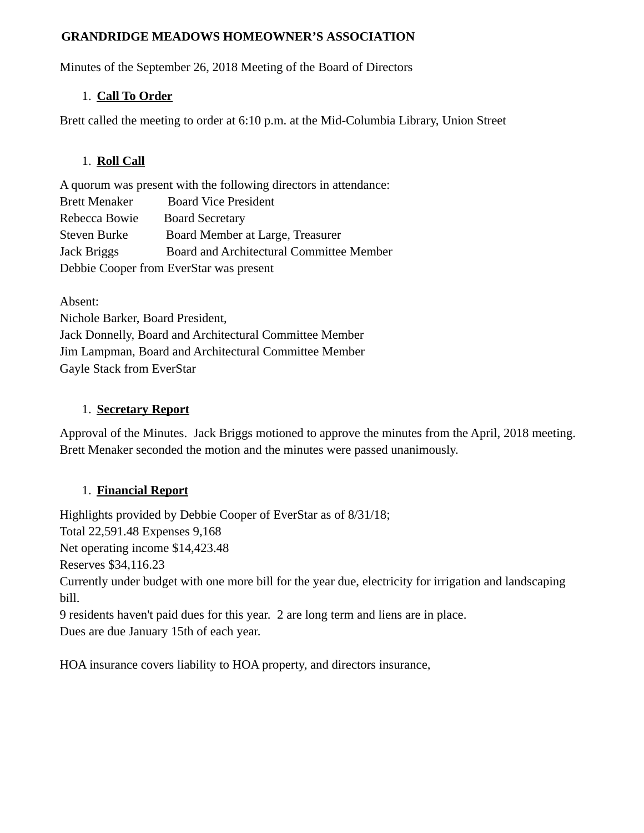#### **GRANDRIDGE MEADOWS HOMEOWNER'S ASSOCIATION**

Minutes of the September 26, 2018 Meeting of the Board of Directors

#### 1. **Call To Order**

Brett called the meeting to order at 6:10 p.m. at the Mid-Columbia Library, Union Street

## 1. **Roll Call**

A quorum was present with the following directors in attendance: Brett Menaker Board Vice President Rebecca Bowie Board Secretary Steven Burke Board Member at Large, Treasurer Jack Briggs Board and Architectural Committee Member Debbie Cooper from EverStar was present

Absent: Nichole Barker, Board President, Jack Donnelly, Board and Architectural Committee Member Jim Lampman, Board and Architectural Committee Member Gayle Stack from EverStar

### 1. **Secretary Report**

Approval of the Minutes. Jack Briggs motioned to approve the minutes from the April, 2018 meeting. Brett Menaker seconded the motion and the minutes were passed unanimously.

# 1. **Financial Report**

Highlights provided by Debbie Cooper of EverStar as of 8/31/18; Total 22,591.48 Expenses 9,168 Net operating income \$14,423.48 Reserves \$34,116.23 Currently under budget with one more bill for the year due, electricity for irrigation and landscaping bill. 9 residents haven't paid dues for this year. 2 are long term and liens are in place.

Dues are due January 15th of each year.

HOA insurance covers liability to HOA property, and directors insurance,